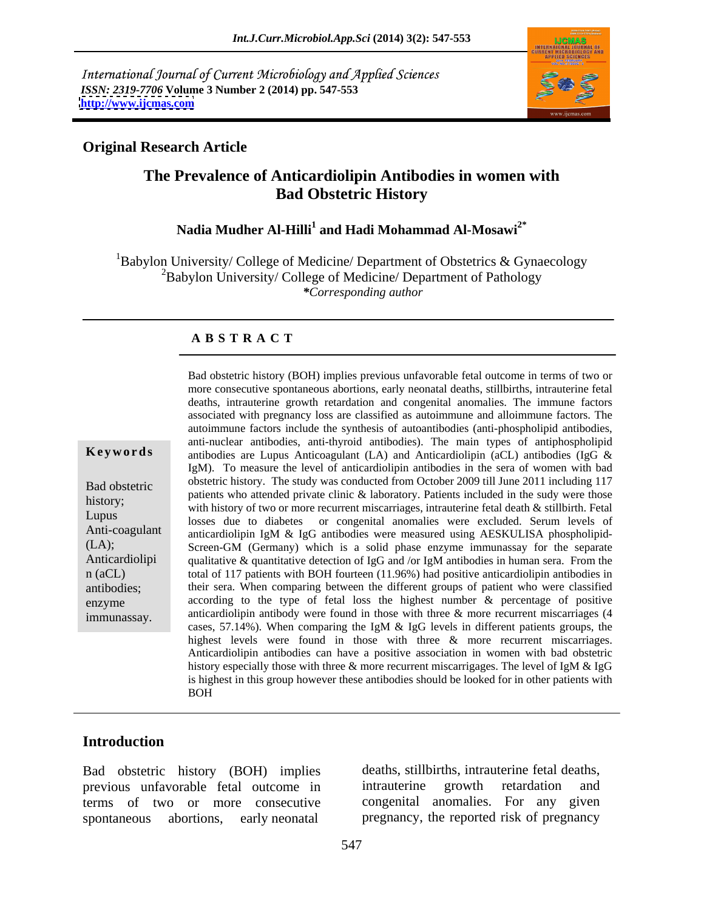International Journal of Current Microbiology and Applied Sciences *ISSN: 2319-7706* **Volume 3 Number 2 (2014) pp. 547-553 <http://www.ijcmas.com>**



### **Original Research Article**

# **The Prevalence of Anticardiolipin Antibodies in women with Bad Obstetric History**

## <code>Nadia Mudher Al-Hilli $^1$  and Hadi Mohammad Al-Mosawi $^{2^\ast}$ </code>

 ${}^{1}$ Babylon University/ College of Medicine/ Department of Obstetrics & Gynaecology  ${}^{2}$ Babylon University/ College of Medicine/ Department of Pathology *\*Corresponding author* 

### **A B S T R A C T**

**Keywords** antibodies are Lupus Anticoagulant (LA) and Anticardiolipin (aCL) antibodies (IgG & Bad obstetric obstetric history. The study was conducted from October 2009 till June 2011 including 117 history;<br>with history of two or more recurrent miscarriages, intrauterine fetal death & stillbirth. Fetal Lupus losses due to diabetes or congenital anomalies were excluded. Serum levels of Anti-coagulant anticardiolipin IgM & IgG antibodies were measured using AESKULISA phospholipid-(LA); Screen-GM (Germany) which is a solid phase enzyme immunassay for the separate Anticardiolipi qualitative & quantitative detection of IgG and /or IgM antibodies in human sera. From the n (aCL) total of 117 patients with BOH fourteen (11.96%) had positive anticardiolipin antibodies in antibodies; their sera. When comparing between the different groups of patient who were classified enzyme according to the type of fetal loss the highest number & percentage of positive Bad obstetric history (BOH) implies previous unfavorable fetal outcome in terms of two or<br>more consecutive spontaneous abortions, carly neonatal deaths, intrauterine from<br>the grandy conservation and congenital anomalies. T more consecutive spontaneous abortions, early neonatal deaths, stillbirths, intrauterine fetal deaths, intrauterine growth retardation and congenital anomalies. The immune factors associated with pregnancy loss are classified as autoimmune and alloimmune factors. The autoimmune factors include the synthesis of autoantibodies (anti-phospholipid antibodies, anti-nuclear antibodies, anti-thyroid antibodies). The main types of antiphospholipid IgM). To measure the level of anticardiolipin antibodies in the sera of women with bad patients who attended private clinic & laboratory. Patients included in the sudy were those anticardiolipin antibody were found in those with three & more recurrent miscarriages (4 cases, 57.14%). When comparing the IgM & IgG levels in different patients groups, the highest levels were found in those with three & more recurrent miscarriages. Anticardiolipin antibodies can have a positive association in women with bad obstetric history especially those with three & more recurrent miscarrigages. The level of IgM & IgG is highest in this group however these antibodies should be looked for in other patients with BOH

### **Introduction**

Bad obstetric history (BOH) implies previous unfavorable fetal outcome in terms of two or more consecutive congenital anomalies. For any given spontaneous abortions, early neonatal pregnancy, the reported risk of pregnancy

deaths, stillbirths, intrauterine fetal deaths, intrauterine growth retardation and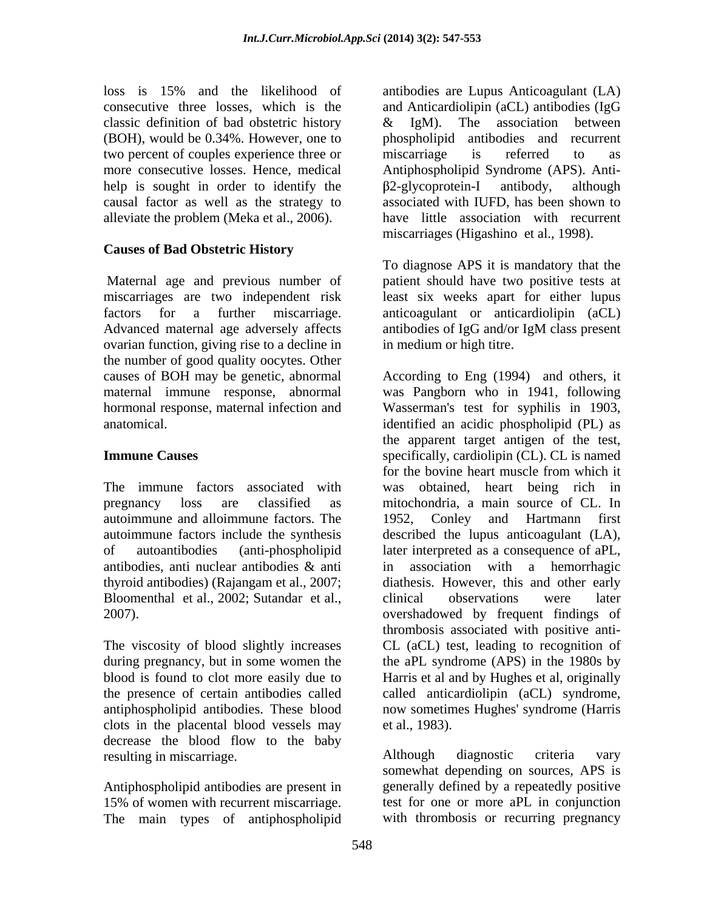classic definition of bad obstetric history  $\&$  IgM). The association between two percent of couples experience three or miscarriage is referred to as help is sought in order to identify the  $\beta$ 2-glycoprotein-I antibody, although causal factor as well as the strategy to alleviate the problem (Meka et al., 2006).

### **Causes of Bad Obstetric History**

Advanced maternal age adversely affects antibodies of IgG and/or IgM class present ovarian function, giving rise to a decline in the number of good quality oocytes. Other

autoimmune and alloimmune factors. The autoimmune factors include the synthesis

The viscosity of blood slightly increases clots in the placental blood vessels may et al., 1983). decrease the blood flow to the baby resulting in miscarriage. The absolution of the Although diagnostic criteria vary

Antiphospholipid antibodies are present in 15% of women with recurrent miscarriage. The main types of antiphospholipid

loss is 15% and the likelihood of antibodies are Lupus Anticoagulant (LA) consecutive three losses, which is the and Anticardiolipin (aCL) antibodies (IgG (BOH), would be 0.34%. However, one to phospholipid antibodies and recurrent more consecutive losses. Hence, medical Antiphospholipid Syndrome (APS). Anti-& IgM). The association between miscarriage is referred to as 2-glycoprotein-I antibody, although associated with IUFD, has been shown to have little association with recurrent miscarriages (Higashino et al., 1998).

Maternal age and previous number of patient should have two positive tests at miscarriages are two independent risk least six weeks apart for either lupus factors for a further miscarriage. anticoagulant or anticardiolipin (aCL) To diagnose APS it is mandatory that the antibodies of IgG and/or IgM class present in medium or high titre.

causes of BOH may be genetic, abnormal According to Eng (1994) and others, it maternal immune response, abnormal was Pangborn who in 1941, following hormonal response, maternal infection and Wasserman's test for syphilis in 1903, anatomical. identified an acidic phospholipid (PL) as **Immune Causes** Specifically, cardiolipin (CL). CL is named The immune factors associated with was obtained, heart being rich in pregnancy loss are classified as mitochondria, a main source of CL. In of autoantibodies (anti-phospholipid later interpreted as a consequence of aPL, antibodies, anti nuclear antibodies & anti thyroid antibodies) (Rajangam et al., 2007; diathesis. However, this and other early Bloomenthal et al., 2002; Sutandar et al., clinical observations were later 2007). during pregnancy, but in some women the the aPL syndrome (APS) in the 1980s by blood is found to clot more easily due to Harris et al and by Hughes et al, originally the presence of certain antibodies called called anticardiolipin (aCL) syndrome, antiphospholipid antibodies. These blood now sometimes Hughes' syndrome (Harris the apparent target antigen of the test, for the bovine heart muscle from which it 1952, Conley and Hartmann first described the lupus anticoagulant (LA), in association with a hemorrhagic clinical observations were later thrombosis associated with positive anti- CL (aCL) test, leading to recognition of et al., 1983).

> Although diagnostic criteria vary somewhat depending on sources, APS is generally defined by a repeatedly positive test for one or more aPL in conjunction with thrombosis or recurring pregnancy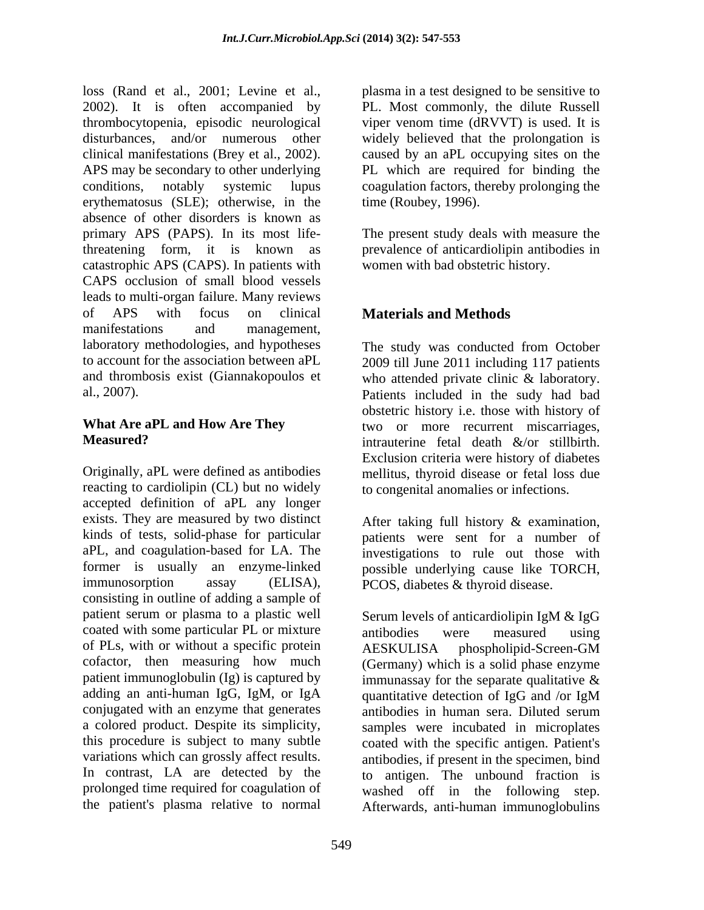loss (Rand et al., 2001; Levine et al., plasma in a test designed to be sensitive to 2002). It is often accompanied by thrombocytopenia, episodic neurological viper venom time (dRVVT) is used. It is disturbances, and/or numerous other widely believed that the prolongation is clinical manifestations (Brey et al., 2002). caused by an aPL occupying sites on the APS may be secondary to other underlying conditions, notably systemic lupus coagulation factors, thereby prolonging the erythematosus (SLE); otherwise, in the absence of other disorders is known as primary APS (PAPS). In its most life-The present study deals with measure the threatening form, it is known as prevalence of anticardiolipin antibodies in catastrophic APS (CAPS). In patients with CAPS occlusion of small blood vessels leads to multi-organ failure. Many reviews of APS with focus on clinical **Materials and Methods** manifestations and management, laboratory methodologies, and hypotheses The study was conducted from October to account for the association between aPL 2009 till June 2011 including 117 patients and thrombosis exist (Giannakopoulos et who attended private clinic & laboratory. al., 2007).

Originally, aPL were defined as antibodies mellitus, thyroid disease or fetal loss due reacting to cardiolipin (CL) but no widely accepted definition of aPL any longer exists. They are measured by two distinct kinds of tests, solid-phase for particular patients were sent for a number of aPL, and coagulation-based for LA. The investigations to rule out those with former is usually an enzyme-linked possible underlying cause like TORCH, immunosorption assay (ELISA), PCOS, diabetes & thyroid disease. consisting in outline of adding a sample of patient serum or plasma to a plastic well coated with some particular PL or mixture antibodies were measured using of PLs, with or without a specific protein AESKULISA phospholipid-Screen-GM cofactor, then measuring how much patient immunoglobulin (Ig) is captured by adding an anti-human IgG, IgM, or IgA quantitative detection of IgG and /or IgM conjugated with an enzyme that generates antibodies in human sera. Diluted serum a colored product. Despite its simplicity, samples were incubated in microplates this procedure is subject to many subtle coated with the specific antigen. Patient's variations which can grossly affect results.<br>
In contrast, LA are detected by the to antigen. The unbound fraction is prolonged time required for coagulation of washed off in the following step.

PL. Most commonly, the dilute Russell PL which are required for binding the time (Roubey, 1996).

women with bad obstetric history.

# **Materials and Methods**

What Are aPL and How Are They **two** or more recurrent miscarriages, **Measured?** The same intrauterine fetal death  $\&$ /or stillbirth. Patients included in the sudy had bad obstetric history i.e. those with history of Exclusion criteria were history of diabetes to congenital anomalies or infections.

After taking full history & examination,

the patient's plasma relative to normal Afterwards, anti-human immunoglobulinsSerum levels of anticardiolipin IgM & IgG antibodies were measured using AESKULISA phospholipid-Screen-GM (Germany) which is a solid phase enzyme immunassay for the separate qualitative  $\&$ quantitative detection of IgG and /or IgM antibodies in human sera. Diluted serum antibodies, if present in the specimen, bind to antigen. The unbound fraction is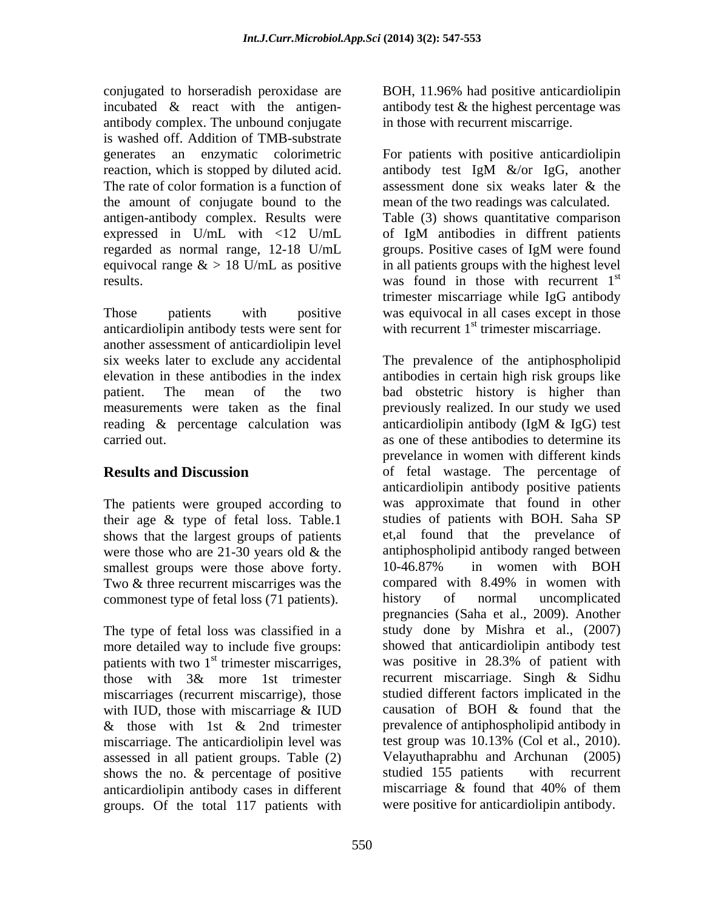conjugated to horseradish peroxidase are BOH, 11.96% had positive anticardiolipin incubated  $\&$  react with the antigen-<br>antibody test  $\&$  the highest percentage was antibody complex. The unbound conjugate is washed off. Addition of TMB-substrate The rate of color formation is a function of assessment done six weaks later  $\&$  the the amount of conjugate bound to the regarded as normal range, 12-18 U/mL

anticardiolipin antibody tests were sent for another assessment of anticardiolipin level reading & percentage calculation was anticardiolipin antibody (IgM & IgG) test

The patients were grouped according to their age & type of fetal loss. Table.1 shows that the largest groups of patients were those who are 21-30 years old  $\&$  the antiphospholipid antibody ranged between<br>smallest groups were those above forty.  $10-46.87\%$  in women with BOH smallest groups were those above forty. 10-46.87% Two & three recurrent miscarriges was the compared with 8.49% in women with commonest type of fetal loss (71 patients). history of normal uncomplicated

The type of fetal loss was classified in a more detailed way to include five groups: patients with two  $1<sup>st</sup>$  trimester miscarriges, miscarriages (recurrent miscarrige), those studied different factors implicated in the with  $\text{HID}$  those with miscarriage  $\&$   $\text{HID}$  causation of BOH  $\&$  found that the with IUD, those with miscarriage & IUD miscarriage. The anticardiolipin level was test group was 10.13% (Col et al., 2010). assessed in all patient groups. Table (2) Velayuthaprabhu and Archunan (2005)<br>shows the no. & percentage of positive studied 155 patients with recurrent shows the no. & percentage of positive studied 155 patients with recurrent anticardiolinin antibody cases in different miscarriage & found that 40% of them anticardiolipin antibody cases in different groups. Of the total 117 patients with

in those with recurrent miscarrige.

generates an enzymatic colorimetric For patients with positive anticardiolipin reaction, which is stopped by diluted acid. antibody test IgM  $\&$ /or IgG, another antigen-antibody complex. Results were Table (3)shows quantitative comparison expressed in U/mL with <12 U/mL of IgM antibodies in diffrent patients equivocal range  $\&$  > 18 U/mL as positive in all patients groups with the highest level results. The results. The vast found in those with recurrent  $1<sup>st</sup>$ Those patients with positive was equivocal in all cases except in those assessment done six weaks later & the mean of the two readings was calculated. groups. Positive cases of IgM were found st trimester miscarriage while IgG antibody with recurrent  $1<sup>st</sup>$  trimester miscarriage.

six weeks later to exclude any accidental The prevalence of the antiphospholipid elevation in these antibodies in the index antibodies in certain high risk groups like patient. The mean of the two bad obstetric history is higher than measurements were taken as the final previously realized. In our study we used carried out. as one of these antibodies to determine its **Results and Discussion** of fetal wastage. The percentage of st trimester miscarriges, was positive in 28.3% of patient with those with 3& more 1st trimester recurrent miscarriage. Singh & Sidhu & those with 1st & 2nd trimester prevalence of antiphospholipid antibody in anticardiolipin antibody (IgM & IgG) test prevelance in women with different kinds anticardiolipin antibody positive patients was approximate that found in other studies of patients with BOH. Saha SP et,al found that the prevelance of antiphospholipid antibody ranged between 10-46.87% in women with BOH compared with 8.49% in women with history of normal uncomplicated pregnancies (Saha et al., 2009). Another study done by Mishra et al., (2007) showed that anticardiolipin antibody test recurrent miscarriage. Singh & Sidhu studied different factors implicated in the causation of BOH & found that the prevalence of antiphospholipid antibody in test group was 10.13% (Col et al., 2010). Velayuthaprabhu and Archunan (2005) studied 155 patients with recurrent miscarriage & found that 40% of them were positive for anticardiolipin antibody.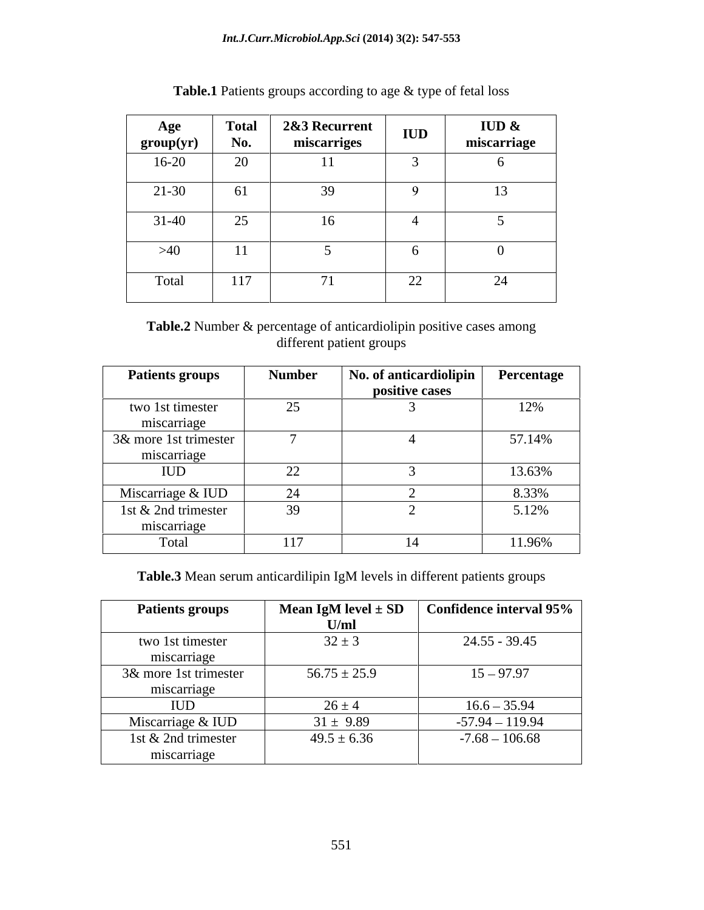| Age<br>group(yr) | <b>Total</b><br>No. | 2&3 Recurrent<br>miscarriges | <b>IUD</b> | IUD $\&$<br>miscarriage |
|------------------|---------------------|------------------------------|------------|-------------------------|
| $16-20$          | 20                  | $\mathbf{1}$                 |            |                         |
| $21 - 30$        | 61                  | $\mathcal{L}$                |            |                         |
| $31-40$          | 25                  | 10                           |            |                         |
| >40              | 11                  |                              |            |                         |
| Total            | 117                 |                              | 22         | $\sim$ $\sim$           |

**Table.1** Patients groups according to age & type of fetal loss

**Table.2** Number & percentage of anticardiolipin positive cases among different patient groups

| <b>Patients groups</b> | <b>Number</b>                        | $\vert$ No. of anticardiolipin | Percentage               |
|------------------------|--------------------------------------|--------------------------------|--------------------------|
|                        |                                      | positive cases                 |                          |
| two 1st timester       |                                      |                                | 10 <sub>0</sub><br>1/270 |
| miscarriage            |                                      |                                |                          |
| 3& more 1st trimester  |                                      |                                | 57.14%                   |
| miscarriage            |                                      |                                |                          |
| IUD                    | $\Omega$<br>$\overline{\phantom{m}}$ |                                | 13.63%                   |
| Miscarriage & IUD      |                                      |                                | 8.33%                    |
| 1st & 2nd trimester    | 39                                   |                                | 5.12%                    |
| miscarriage            |                                      |                                |                          |
| Total                  | 117                                  |                                | 11.96%                   |

**Table.3** Mean serum anticardilipin IgM levels in different patients groups

| <b>Patients groups</b> |                  | Mean IgM level $\pm$ SD $\left\vert$ Confidence interval 95% |
|------------------------|------------------|--------------------------------------------------------------|
|                        |                  |                                                              |
| two 1st timester       | $32 \pm 3$       | 24.55 - 39.45                                                |
| miscarriage            |                  |                                                              |
| 3& more 1st trimester  | $56.75 \pm 25.9$ | $15 - 97.97$                                                 |
| miscarriage            |                  |                                                              |
| 1UD J                  | $76 \pm 4$       | $16.6 - 35.94$                                               |
| Miscarriage & IUD      | $31 \pm 9.89$    | $-57.94 - 119.94$                                            |
| 1st & 2nd trimester    | $49.5 \pm 6.36$  | $-7.68 - 106.68$                                             |
| miscarriage            |                  |                                                              |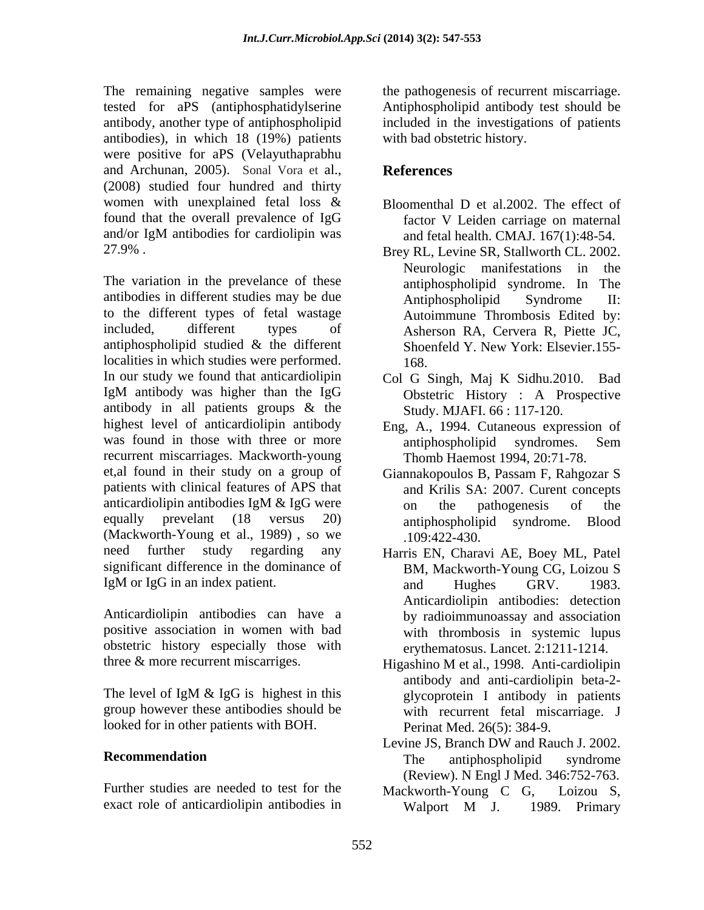The remaining negative samples were tested for aPS (antiphosphatidylserine Antiphospholipid antibody test should be antibody, another type of antiphospholipid antibodies), in which 18 (19%) patients were positive for aPS (Velayuthaprabhu and Archunan, 2005). Sonal Vora et al., **References**<br>(2008) studied four hundred and thirty women with unexplained fetal loss & Bloomenthal D et al.2002. The effect of found that the overall prevalence of IgG and/or IgM antibodies for cardiolipin was and fetal health. CMAJ, 167(1):48-54. 27.9% . Brey RL, Levine SR, Stallworth CL. 2002.

The variation in the prevelance of these antibodies in different studies may be due<br>Antiphospholipid Syndrome II: to the different types of fetal wastage included, different types of Asherson RA, Cervera R, Piette JC, antiphospholipid studied & the different Shoenfeld Y. New York: Elsevier.155localities in which studies were performed. In our study we found that anticardiolipin IgM antibody was higher than the IgG antibody in all patients groups & the highest level of anticardiolipin antibody Eng, A., 1994. Cutaneous expression of was found in those with three or more antiphospholipid syndromes. Sem recurrent miscarriages. Mackworth-young et,al found in their study on a group of patients with clinical features of APS that anticardiolipin antibodies IgM & IgG were on the pathogenesis of the equally prevelant (18 versus 20) antiphospholipid syndrome. Blood (Mackworth-Young et al., 1989), so we ... 109:422-430. need further study regarding any Harris EN, Charavi AE, Boey ML, Patel significant difference in the dominance of IgM or IgG in an index patient. and Hughes GRV. 1983.

Anticardiolipin antibodies can have a obstetric history especially those with

group however these antibodies should be looked for in other patients with BOH.

Further studies are needed to test for the Mackworth-Young C G, Loizou S,

the pathogenesis of recurrent miscarriage. included in the investigations of patients with bad obstetric history.

# **References**

- factor V Leiden carriage on maternal and fetal health. CMAJ. 167(1):48-54.
- Neurologic manifestations in the antiphospholipid syndrome. In The Antiphospholipid Syndrome II: Autoimmune Thrombosis Edited by: Shoenfeld Y. New York: Elsevier.155- 168.
- Col G Singh, Maj K Sidhu.2010. Bad Obstetric History : A Prospective Study. MJAFI. 66 : 117-120.
- antiphospholipid syndromes. Sem Thomb Haemost 1994, 20:71-78.
- Giannakopoulos B, Passam F, Rahgozar S and Krilis SA: 2007. Curent concepts on the pathogenesis of the .109:422-430.
- positive association in women with bad with thrombosis in systemic lupus BM, Mackworth-Young CG, Loizou S and Hughes GRV. 1983. Anticardiolipin antibodies: detection by radioimmunoassay and association erythematosus. Lancet. 2:1211-1214.
- three & more recurrent miscarriges. Higashino M et al., 1998. Anti-cardiolipin The level of IgM  $\&$  IgG is highest in this  $\qquad \qquad$  glycoprotein I antibody in patients antibody and anti-cardiolipin beta-2 glycoprotein I antibody in patients with recurrent fetal miscarriage. J Perinat Med. 26(5): 384-9.
- **Recommendation** The antiphospholipid syndrome Levine JS, Branch DW and Rauch J. 2002. The antiphospholipid syndrome (Review). N Engl J Med. 346:752-763.
- exact role of anticardiolipin antibodies in Walport M J. 1989. Primary Mackworth-Young <sup>C</sup> G, Loizou S, Walport <sup>M</sup> J. 1989. Primary